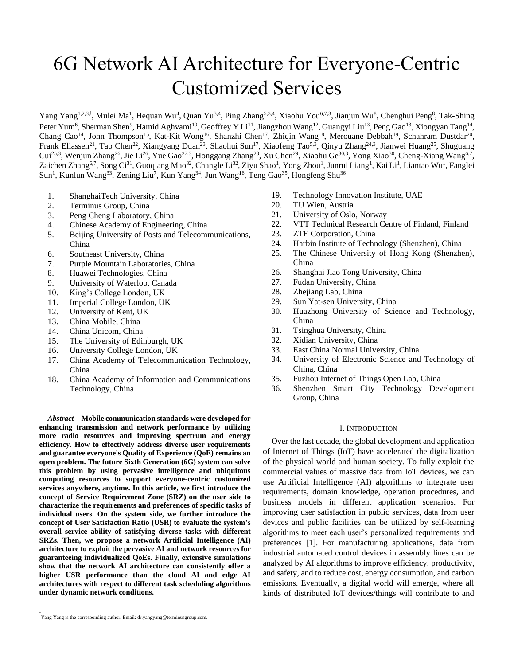# 6G Network AI Architecture for Everyone-Centric Customized Services

Yang Yang<sup>1,2,3,†</sup>, Mulei Ma<sup>1</sup>, Hequan Wu<sup>4</sup>, Quan Yu<sup>3,4</sup>, Ping Zhang<sup>5,3,4</sup>, Xiaohu You<sup>6,7,3</sup>, Jianjun Wu<sup>8</sup>, Chenghui Peng<sup>8</sup>, Tak-Shing Peter Yum<sup>6</sup>, Sherman Shen<sup>9</sup>, Hamid Aghvami<sup>10</sup>, Geoffrey Y Li<sup>11</sup>, Jiangzhou Wang<sup>12</sup>, Guangyi Liu<sup>13</sup>, Peng Gao<sup>13</sup>, Xiongyan Tang<sup>14</sup> , Chang Cao<sup>14</sup>, John Thompson<sup>15</sup>, Kat-Kit Wong<sup>16</sup>, Shanzhi Chen<sup>17</sup>, Zhiqin Wang<sup>18</sup>, Merouane Debbah<sup>19</sup>, Schahram Dustdar<sup>20</sup>, Frank Eliassen<sup>21</sup>, Tao Chen<sup>22</sup>, Xiangyang Duan<sup>23</sup>, Shaohui Sun<sup>17</sup>, Xiaofeng Tao<sup>5,3</sup>, Qinyu Zhang<sup>24,3</sup>, Jianwei Huang<sup>25</sup>, Shuguang Cui<sup>25,3</sup>, Wenjun Zhang<sup>26</sup>, Jie Li<sup>26</sup>, Yue Gao<sup>27,3</sup>, Honggang Zhang<sup>28</sup>, Xu Chen<sup>29</sup>, Xiaohu Ge<sup>30,3</sup>, Yong Xiao<sup>30</sup>, Cheng-Xiang Wang<sup>6,7</sup>, Zaichen Zhang<sup>6,7</sup>, Song Ci<sup>31</sup>, Guoqiang Mao<sup>32</sup>, Changle Li<sup>32</sup>, Ziyu Shao<sup>1</sup>, Yong Zhou<sup>1</sup>, Junrui Liang<sup>1</sup>, Kai Li<sup>1</sup>, Liantao Wu<sup>1</sup>, Fanglei Sun<sup>1</sup>, Kunlun Wang<sup>33</sup>, Zening Liu<sup>7</sup>, Kun Yang<sup>34</sup>, Jun Wang<sup>16</sup>, Teng Gao<sup>35</sup>, Hongfeng Shu<sup>36</sup>

- 1. ShanghaiTech University, China
- 2. Terminus Group, China
- 3. Peng Cheng Laboratory, China
- 4. Chinese Academy of Engineering, China
- 5. Beijing University of Posts and Telecommunications, China
- 6. Southeast University, China
- 7. Purple Mountain Laboratories, China
- 8. Huawei Technologies, China
- 9. University of Waterloo, Canada
- 10. King's College London, UK
- 11. Imperial College London, UK
- 12. University of Kent, UK
- 13. China Mobile, China
- 14. China Unicom, China
- 15. The University of Edinburgh, UK
- 16. University College London, UK
- 17. China Academy of Telecommunication Technology, China
- 18. China Academy of Information and Communications Technology, China

*Abstract***—Mobile communication standards were developed for enhancing transmission and network performance by utilizing more radio resources and improving spectrum and energy efficiency. How to effectively address diverse user requirements and guarantee everyone's Quality of Experience (QoE) remains an open problem. The future Sixth Generation (6G) system can solve this problem by using pervasive intelligence and ubiquitous computing resources to support everyone-centric customized services anywhere, anytime. In this article, we first introduce the concept of Service Requirement Zone (SRZ) on the user side to characterize the requirements and preferences of specific tasks of individual users. On the system side, we further introduce the concept of User Satisfaction Ratio (USR) to evaluate the system's overall service ability of satisfying diverse tasks with different SRZs. Then, we propose a network Artificial Intelligence (AI) architecture to exploit the pervasive AI and network resources for guaranteeing individualized QoEs. Finally, extensive simulations show that the network AI architecture can consistently offer a higher USR performance than the cloud AI and edge AI architectures with respect to different task scheduling algorithms under dynamic network conditions.**

- 19. Technology Innovation Institute, UAE
- 20. TU Wien, Austria
- 21. University of Oslo, Norway
- 22. VTT Technical Research Centre of Finland, Finland
- 23. ZTE Corporation, China
- 24. Harbin Institute of Technology (Shenzhen), China
- 25. The Chinese University of Hong Kong (Shenzhen), China
- 26. Shanghai Jiao Tong University, China
- 27. Fudan University, China
- 28. Zhejiang Lab, China
- 29. Sun Yat-sen University, China
- 30. Huazhong University of Science and Technology, China
- 31. Tsinghua University, China
- 32. Xidian University, China
- 33. East China Normal University, China
- 34. University of Electronic Science and Technology of China, China
- 35. Fuzhou Internet of Things Open Lab, China
- 36. Shenzhen Smart City Technology Development Group, China

## I. INTRODUCTION

Over the last decade, the global development and application of Internet of Things (IoT) have accelerated the digitalization of the physical world and human society. To fully exploit the commercial values of massive data from IoT devices, we can use Artificial Intelligence (AI) algorithms to integrate user requirements, domain knowledge, operation procedures, and business models in different application scenarios. For improving user satisfaction in public services, data from user devices and public facilities can be utilized by self-learning algorithms to meet each user's personalized requirements and preferences [1]. For manufacturing applications, data from industrial automated control devices in assembly lines can be analyzed by AI algorithms to improve efficiency, productivity, and safety, and to reduce cost, energy consumption, and carbon emissions. Eventually, a digital world will emerge, where all kinds of distributed IoT devices/things will contribute to and

<sup>†</sup> Yang Yang is the corresponding author. Email: dr.yangyang@terminusgroup.com.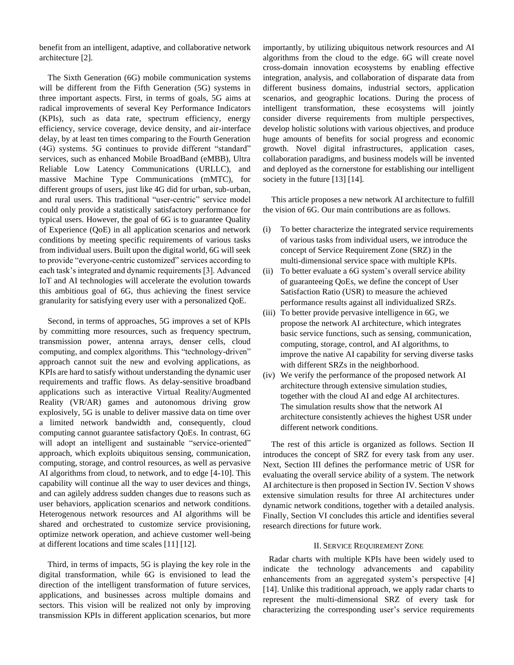benefit from an intelligent, adaptive, and collaborative network architecture [2].

The Sixth Generation (6G) mobile communication systems will be different from the Fifth Generation (5G) systems in three important aspects. First, in terms of goals, 5G aims at radical improvements of several Key Performance Indicators (KPIs), such as data rate, spectrum efficiency, energy efficiency, service coverage, device density, and air-interface delay, by at least ten times comparing to the Fourth Generation (4G) systems. 5G continues to provide different "standard" services, such as enhanced Mobile BroadBand (eMBB), Ultra Reliable Low Latency Communications (URLLC), and massive Machine Type Communications (mMTC), for different groups of users, just like 4G did for urban, sub-urban, and rural users. This traditional "user-centric" service model could only provide a statistically satisfactory performance for typical users. However, the goal of 6G is to guarantee Quality of Experience (QoE) in all application scenarios and network conditions by meeting specific requirements of various tasks from individual users. Built upon the digital world, 6G will seek to provide "everyone-centric customized" services according to each task's integrated and dynamic requirements [3]. Advanced IoT and AI technologies will accelerate the evolution towards this ambitious goal of 6G, thus achieving the finest service granularity for satisfying every user with a personalized QoE.

Second, in terms of approaches, 5G improves a set of KPIs by committing more resources, such as frequency spectrum, transmission power, antenna arrays, denser cells, cloud computing, and complex algorithms. This "technology-driven" approach cannot suit the new and evolving applications, as KPIs are hard to satisfy without understanding the dynamic user requirements and traffic flows. As delay-sensitive broadband applications such as interactive Virtual Reality/Augmented Reality (VR/AR) games and autonomous driving grow explosively, 5G is unable to deliver massive data on time over a limited network bandwidth and, consequently, cloud computing cannot guarantee satisfactory QoEs. In contrast, 6G will adopt an intelligent and sustainable "service-oriented" approach, which exploits ubiquitous sensing, communication, computing, storage, and control resources, as well as pervasive AI algorithms from cloud, to network, and to edge [4-10]. This capability will continue all the way to user devices and things, and can agilely address sudden changes due to reasons such as user behaviors, application scenarios and network conditions. Heterogenous network resources and AI algorithms will be shared and orchestrated to customize service provisioning, optimize network operation, and achieve customer well-being at different locations and time scales [11] [12].

Third, in terms of impacts, 5G is playing the key role in the digital transformation, while 6G is envisioned to lead the direction of the intelligent transformation of future services, applications, and businesses across multiple domains and sectors. This vision will be realized not only by improving transmission KPIs in different application scenarios, but more importantly, by utilizing ubiquitous network resources and AI algorithms from the cloud to the edge. 6G will create novel cross-domain innovation ecosystems by enabling effective integration, analysis, and collaboration of disparate data from different business domains, industrial sectors, application scenarios, and geographic locations. During the process of intelligent transformation, these ecosystems will jointly consider diverse requirements from multiple perspectives, develop holistic solutions with various objectives, and produce huge amounts of benefits for social progress and economic growth. Novel digital infrastructures, application cases, collaboration paradigms, and business models will be invented and deployed as the cornerstone for establishing our intelligent society in the future [13] [14].

This article proposes a new network AI architecture to fulfill the vision of 6G. Our main contributions are as follows.

- (i) To better characterize the integrated service requirements of various tasks from individual users, we introduce the concept of Service Requirement Zone (SRZ) in the multi-dimensional service space with multiple KPIs.
- (ii) To better evaluate a 6G system's overall service ability of guaranteeing QoEs, we define the concept of User Satisfaction Ratio (USR) to measure the achieved performance results against all individualized SRZs.
- (iii) To better provide pervasive intelligence in 6G, we propose the network AI architecture, which integrates basic service functions, such as sensing, communication, computing, storage, control, and AI algorithms, to improve the native AI capability for serving diverse tasks with different SRZs in the neighborhood.
- (iv) We verify the performance of the proposed network AI architecture through extensive simulation studies, together with the cloud AI and edge AI architectures. The simulation results show that the network AI architecture consistently achieves the highest USR under different network conditions.

The rest of this article is organized as follows. Section II introduces the concept of SRZ for every task from any user. Next, Section III defines the performance metric of USR for evaluating the overall service ability of a system. The network AI architecture is then proposed in Section IV. Section V shows extensive simulation results for three AI architectures under dynamic network conditions, together with a detailed analysis. Finally, Section VI concludes this article and identifies several research directions for future work.

# II. SERVICE REQUIREMENT ZONE

Radar charts with multiple KPIs have been widely used to indicate the technology advancements and capability enhancements from an aggregated system's perspective [4] [14]. Unlike this traditional approach, we apply radar charts to represent the multi-dimensional SRZ of every task for characterizing the corresponding user's service requirements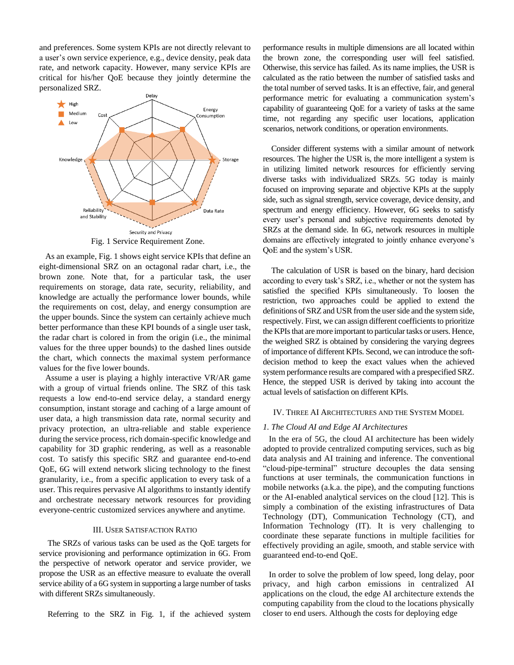and preferences. Some system KPIs are not directly relevant to a user's own service experience, e.g., device density, peak data rate, and network capacity. However, many service KPIs are critical for his/her QoE because they jointly determine the personalized SRZ.



Fig. 1 Service Requirement Zone.

As an example, Fig. 1 shows eight service KPIs that define an eight-dimensional SRZ on an octagonal radar chart, i.e., the brown zone. Note that, for a particular task, the user requirements on storage, data rate, security, reliability, and knowledge are actually the performance lower bounds, while the requirements on cost, delay, and energy consumption are the upper bounds. Since the system can certainly achieve much better performance than these KPI bounds of a single user task, the radar chart is colored in from the origin (i.e., the minimal values for the three upper bounds) to the dashed lines outside the chart, which connects the maximal system performance values for the five lower bounds.

Assume a user is playing a highly interactive VR/AR game with a group of virtual friends online. The SRZ of this task requests a low end-to-end service delay, a standard energy consumption, instant storage and caching of a large amount of user data, a high transmission data rate, normal security and privacy protection, an ultra-reliable and stable experience during the service process, rich domain-specific knowledge and capability for 3D graphic rendering, as well as a reasonable cost. To satisfy this specific SRZ and guarantee end-to-end QoE, 6G will extend network slicing technology to the finest granularity, i.e., from a specific application to every task of a user. This requires pervasive AI algorithms to instantly identify and orchestrate necessary network resources for providing everyone-centric customized services anywhere and anytime.

## III. USER SATISFACTION RATIO

The SRZs of various tasks can be used as the QoE targets for service provisioning and performance optimization in 6G. From the perspective of network operator and service provider, we propose the USR as an effective measure to evaluate the overall service ability of a 6G system in supporting a large number of tasks with different SRZs simultaneously.

Referring to the SRZ in Fig. 1, if the achieved system

performance results in multiple dimensions are all located within the brown zone, the corresponding user will feel satisfied. Otherwise, this service has failed. As its name implies, the USR is calculated as the ratio between the number of satisfied tasks and the total number of served tasks. It is an effective, fair, and general performance metric for evaluating a communication system's capability of guaranteeing QoE for a variety of tasks at the same time, not regarding any specific user locations, application scenarios, network conditions, or operation environments.

Consider different systems with a similar amount of network resources. The higher the USR is, the more intelligent a system is in utilizing limited network resources for efficiently serving diverse tasks with individualized SRZs. 5G today is mainly focused on improving separate and objective KPIs at the supply side, such as signal strength, service coverage, device density, and spectrum and energy efficiency. However, 6G seeks to satisfy every user's personal and subjective requirements denoted by SRZs at the demand side. In 6G, network resources in multiple domains are effectively integrated to jointly enhance everyone's QoE and the system's USR.

The calculation of USR is based on the binary, hard decision according to every task's SRZ, i.e., whether or not the system has satisfied the specified KPIs simultaneously. To loosen the restriction, two approaches could be applied to extend the definitions of SRZ and USR from the user side and the system side, respectively. First, we can assign different coefficients to prioritize the KPIs that are more important to particular tasks or users. Hence, the weighed SRZ is obtained by considering the varying degrees of importance of different KPIs. Second, we can introduce the softdecision method to keep the exact values when the achieved system performance results are compared with a prespecified SRZ. Hence, the stepped USR is derived by taking into account the actual levels of satisfaction on different KPIs.

### IV. THREE AI ARCHITECTURES AND THE SYSTEM MODEL

#### *1. The Cloud AI and Edge AI Architectures*

In the era of 5G, the cloud AI architecture has been widely adopted to provide centralized computing services, such as big data analysis and AI training and inference. The conventional "cloud-pipe-terminal" structure decouples the data sensing functions at user terminals, the communication functions in mobile networks (a.k.a. the pipe), and the computing functions or the AI-enabled analytical services on the cloud [12]. This is simply a combination of the existing infrastructures of Data Technology (DT), Communication Technology (CT), and Information Technology (IT). It is very challenging to coordinate these separate functions in multiple facilities for effectively providing an agile, smooth, and stable service with guaranteed end-to-end QoE.

In order to solve the problem of low speed, long delay, poor privacy, and high carbon emissions in centralized AI applications on the cloud, the edge AI architecture extends the computing capability from the cloud to the locations physically closer to end users. Although the costs for deploying edge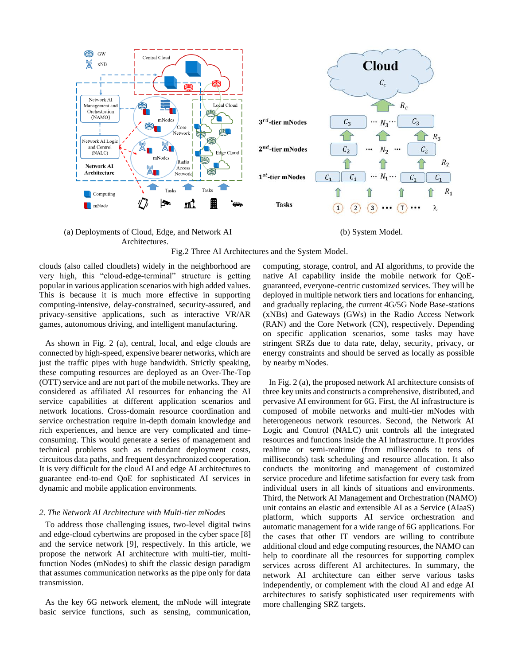

## (a) Deployments of Cloud, Edge, and Network AI Architectures.

(b) System Model.



clouds (also called cloudlets) widely in the neighborhood are very high, this "cloud-edge-terminal" structure is getting popular in various application scenarios with high added values. This is because it is much more effective in supporting computing-intensive, delay-constrained, security-assured, and privacy-sensitive applications, such as interactive VR/AR games, autonomous driving, and intelligent manufacturing.

As shown in Fig. 2 (a), central, local, and edge clouds are connected by high-speed, expensive bearer networks, which are just the traffic pipes with huge bandwidth. Strictly speaking, these computing resources are deployed as an Over-The-Top (OTT) service and are not part of the mobile networks. They are considered as affiliated AI resources for enhancing the AI service capabilities at different application scenarios and network locations. Cross-domain resource coordination and service orchestration require in-depth domain knowledge and rich experiences, and hence are very complicated and timeconsuming. This would generate a series of management and technical problems such as redundant deployment costs, circuitous data paths, and frequent desynchronized cooperation. It is very difficult for the cloud AI and edge AI architectures to guarantee end-to-end QoE for sophisticated AI services in dynamic and mobile application environments.

# *2. The Network AI Architecture with Multi-tier mNodes*

To address those challenging issues, two-level digital twins and edge-cloud cybertwins are proposed in the cyber space [8] and the service network [9], respectively. In this article, we propose the network AI architecture with multi-tier, multifunction Nodes (mNodes) to shift the classic design paradigm that assumes communication networks as the pipe only for data transmission.

As the key 6G network element, the mNode will integrate basic service functions, such as sensing, communication, computing, storage, control, and AI algorithms, to provide the native AI capability inside the mobile network for QoEguaranteed, everyone-centric customized services. They will be deployed in multiple network tiers and locations for enhancing, and gradually replacing, the current 4G/5G Node Base-stations (xNBs) and Gateways (GWs) in the Radio Access Network (RAN) and the Core Network (CN), respectively. Depending on specific application scenarios, some tasks may have stringent SRZs due to data rate, delay, security, privacy, or energy constraints and should be served as locally as possible by nearby mNodes.

In Fig. 2 (a), the proposed network AI architecture consists of three key units and constructs a comprehensive, distributed, and pervasive AI environment for 6G. First, the AI infrastructure is composed of mobile networks and multi-tier mNodes with heterogeneous network resources. Second, the Network AI Logic and Control (NALC) unit controls all the integrated resources and functions inside the AI infrastructure. It provides realtime or semi-realtime (from milliseconds to tens of milliseconds) task scheduling and resource allocation. It also conducts the monitoring and management of customized service procedure and lifetime satisfaction for every task from individual users in all kinds of situations and environments. Third, the Network AI Management and Orchestration (NAMO) unit contains an elastic and extensible AI as a Service (AIaaS) platform, which supports AI service orchestration and automatic management for a wide range of 6G applications. For the cases that other IT vendors are willing to contribute additional cloud and edge computing resources, the NAMO can help to coordinate all the resources for supporting complex services across different AI architectures. In summary, the network AI architecture can either serve various tasks independently, or complement with the cloud AI and edge AI architectures to satisfy sophisticated user requirements with more challenging SRZ targets.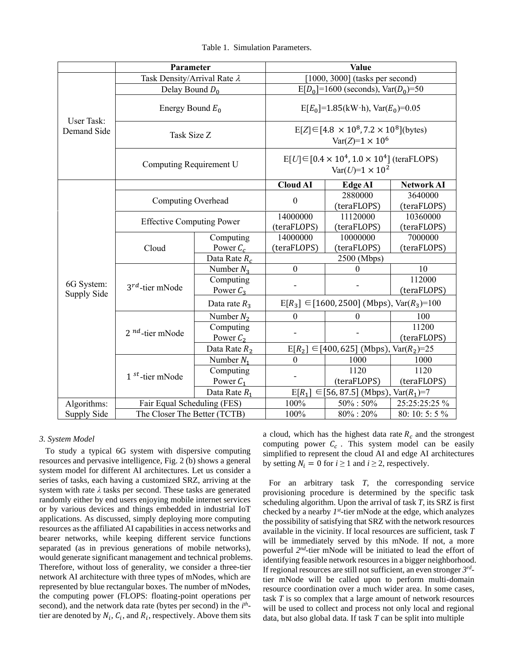|                           | Parameter                           |                          | <b>Value</b>                                                                        |                         |                         |
|---------------------------|-------------------------------------|--------------------------|-------------------------------------------------------------------------------------|-------------------------|-------------------------|
| User Task:<br>Demand Side | Task Density/Arrival Rate $\lambda$ |                          | $[1000, 3000]$ (tasks per second)                                                   |                         |                         |
|                           | Delay Bound $D_0$                   |                          | $E[D_0] = 1600$ (seconds), $Var(D_0) = 50$                                          |                         |                         |
|                           | Energy Bound $E_0$                  |                          | $E[E_0] = 1.85(kW \cdot h)$ , $Var(E_0) = 0.05$                                     |                         |                         |
|                           | Task Size Z                         |                          | $E[Z] \in [4.8 \times 10^8, 7.2 \times 10^8]$ (bytes)<br>$Var(Z)=1 \times 10^6$     |                         |                         |
|                           | Computing Requirement U             |                          | $E[U] \in [0.4 \times 10^4, 1.0 \times 10^4]$ (teraFLOPS)<br>$Var(U)=1 \times 10^2$ |                         |                         |
| 6G System:<br>Supply Side |                                     |                          | <b>Cloud AI</b>                                                                     | <b>Edge AI</b>          | <b>Network AI</b>       |
|                           | Computing Overhead                  |                          | $\boldsymbol{0}$                                                                    | 2880000<br>(teraFLOPS)  | 3640000<br>(teraFLOPS)  |
|                           | <b>Effective Computing Power</b>    |                          | 14000000<br>(teraFLOPS)                                                             | 11120000<br>(teraFLOPS) | 10360000<br>(teraFLOPS) |
|                           | Cloud                               | Computing                | 14000000                                                                            | 10000000                | 7000000                 |
|                           |                                     | Power $C_c$              | (teraFLOPS)                                                                         | (teraFLOPS)             | (teraFLOPS)             |
|                           |                                     | Data Rate $R_c$          | 2500 (Mbps)                                                                         |                         |                         |
|                           | $3^{rd}$ -tier mNode                | Number $N_3$             | $\boldsymbol{0}$                                                                    | $\theta$                | 10                      |
|                           |                                     | Computing<br>Power $C_3$ |                                                                                     |                         | 112000<br>(teraFLOPS)   |
|                           |                                     | Data rate $R_3$          | $E[R_3] \in [1600, 2500]$ (Mbps), $Var(R_3)=100$                                    |                         |                         |
|                           | $2^{nd}$ -tier mNode                | Number $N_2$             | $\boldsymbol{0}$                                                                    | 0                       | 100                     |
|                           |                                     | Computing<br>Power $C_2$ |                                                                                     |                         | 11200<br>(teraFLOPS)    |
|                           |                                     | Data Rate $R_2$          | $E[R_2] \in [400, 625]$ (Mbps), Var $(R_2) = 25$                                    |                         |                         |
|                           | $1st$ -tier mNode                   | Number $N_1$             | $\boldsymbol{0}$                                                                    | 1000                    | 1000                    |
|                           |                                     | Computing                |                                                                                     | 1120                    | 1120                    |
|                           |                                     | Power $C_1$              |                                                                                     | (teraFLOPS)             | (teraFLOPS)             |
|                           |                                     | Data Rate $R_1$          | $\in$ [56, 87.5] (Mbps), Var( $R_1$ )=7<br>$E[R_1]$                                 |                         |                         |
| Algorithms:               | Fair Equal Scheduling (FES)         |                          | 100%                                                                                | $50\% : 50\%$           | 25:25:25:25 %           |
| Supply Side               | The Closer The Better (TCTB)        |                          | 100%                                                                                | $80\% : 20\%$           | 80: 10: 5: 5 %          |

Table 1. Simulation Parameters.

# *3. System Model*

To study a typical 6G system with dispersive computing resources and pervasive intelligence, Fig. 2 (b) shows a general system model for different AI architectures. Let us consider a series of tasks, each having a customized SRZ, arriving at the system with rate *λ* tasks per second. These tasks are generated randomly either by end users enjoying mobile internet services or by various devices and things embedded in industrial IoT applications. As discussed, simply deploying more computing resources as the affiliated AI capabilities in access networks and bearer networks, while keeping different service functions separated (as in previous generations of mobile networks), would generate significant management and technical problems. Therefore, without loss of generality, we consider a three-tier network AI architecture with three types of mNodes, which are represented by blue rectangular boxes. The number of mNodes, the computing power (FLOPS: floating-point operations per second), and the network data rate (bytes per second) in the *i th* tier are denoted by  $N_i$ ,  $C_i$ , and  $R_i$ , respectively. Above them sits a cloud, which has the highest data rate  $R_c$  and the strongest computing power  $C_c$ . This system model can be easily simplified to represent the cloud AI and edge AI architectures by setting  $N_i = 0$  for  $i \ge 1$  and  $i \ge 2$ , respectively.

For an arbitrary task *T*, the corresponding service provisioning procedure is determined by the specific task scheduling algorithm. Upon the arrival of task *T*, its SRZ is first checked by a nearby  $I^{st}$ -tier mNode at the edge, which analyzes the possibility of satisfying that SRZ with the network resources available in the vicinity. If local resources are sufficient, task *T* will be immediately served by this mNode. If not, a more powerful 2<sup>nd</sup>-tier mNode will be initiated to lead the effort of identifying feasible network resources in a bigger neighborhood. If regional resources are still not sufficient, an even stronger *3 rd* tier mNode will be called upon to perform multi-domain resource coordination over a much wider area. In some cases, task *T* is so complex that a large amount of network resources will be used to collect and process not only local and regional data, but also global data. If task *T* can be split into multiple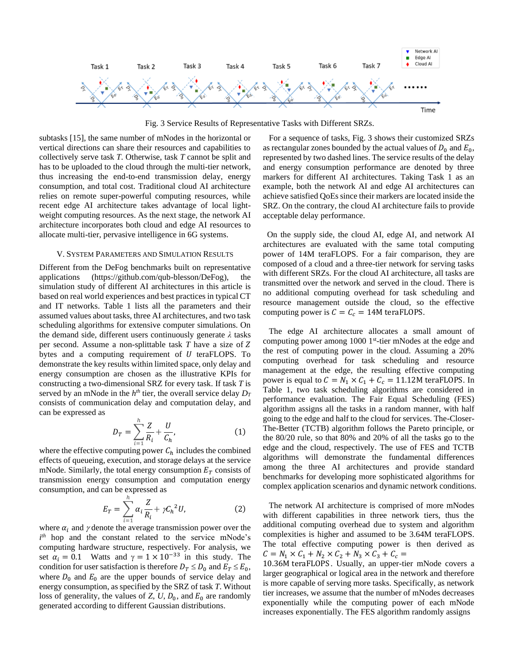

Fig. 3 Service Results of Representative Tasks with Different SRZs.

subtasks [15], the same number of mNodes in the horizontal or vertical directions can share their resources and capabilities to collectively serve task *T*. Otherwise, task *T* cannot be split and has to be uploaded to the cloud through the multi-tier network, thus increasing the end-to-end transmission delay, energy consumption, and total cost. Traditional cloud AI architecture relies on remote super-powerful computing resources, while recent edge AI architecture takes advantage of local lightweight computing resources. As the next stage, the network AI architecture incorporates both cloud and edge AI resources to allocate multi-tier, pervasive intelligence in 6G systems.

### V. SYSTEM PARAMETERS AND SIMULATION RESULTS

Different from the DeFog benchmarks built on representative applications [\(https://github.com/qub-blesson/DeFog\)](https://github.com/qub-blesson/DeFog), the simulation study of different AI architectures in this article is based on real world experiences and best practices in typical CT and IT networks. Table 1 lists all the parameters and their assumed values about tasks, three AI architectures, and two task scheduling algorithms for extensive computer simulations. On the demand side, different users continuously generate *λ* tasks per second. Assume a non-splittable task *T* have a size of bytes and a computing requirement of  $U$  teraFLOPS. To demonstrate the key results within limited space, only delay and energy consumption are chosen as the illustrative KPIs for constructing a two-dimensional SRZ for every task. If task *T* is served by an mNode in the  $h^{th}$  tier, the overall service delay  $D_T$ consists of communication delay and computation delay, and can be expressed as

$$
D_T = \sum_{i=1}^h \frac{Z}{R_i} + \frac{U}{C_h},\tag{1}
$$

where the effective computing power  $C_h$  includes the combined effects of queueing, execution, and storage delays at the service mNode. Similarly, the total energy consumption  $E_T$  consists of transmission energy consumption and computation energy consumption, and can be expressed as

$$
E_T = \sum_{i=1}^h \alpha_i \frac{Z}{R_i} + \gamma C_h{}^2 U,\tag{2}
$$

where  $\alpha_i$  and  $\gamma$  denote the average transmission power over the *i th* hop and the constant related to the service mNode's computing hardware structure, respectively. For analysis, we set  $\alpha_i = 0.1$  Watts and  $\gamma = 1 \times 10^{-33}$  in this study. The condition for user satisfaction is therefore  $D_T \leq D_0$  and  $E_T \leq E_0$ , where  $D_0$  and  $E_0$  are the upper bounds of service delay and energy consumption, as specified by the SRZ of task *T*. Without loss of generality, the values of  $Z$ ,  $U$ ,  $D_0$ , and  $E_0$  are randomly generated according to different Gaussian distributions.

For a sequence of tasks, Fig. 3 shows their customized SRZs as rectangular zones bounded by the actual values of  $D_0$  and  $E_0$ , represented by two dashed lines. The service results of the delay and energy consumption performance are denoted by three markers for different AI architectures. Taking Task 1 as an example, both the network AI and edge AI architectures can achieve satisfied QoEs since their markers are located inside the SRZ. On the contrary, the cloud AI architecture fails to provide acceptable delay performance.

On the supply side, the cloud AI, edge AI, and network AI architectures are evaluated with the same total computing power of 14M teraFLOPS. For a fair comparison, they are composed of a cloud and a three-tier network for serving tasks with different SRZs. For the cloud AI architecture, all tasks are transmitted over the network and served in the cloud. There is no additional computing overhead for task scheduling and resource management outside the cloud, so the effective computing power is  $C = C_c = 14M$  teraFLOPS.

The edge AI architecture allocates a small amount of computing power among 1000 1<sup>st</sup>-tier mNodes at the edge and the rest of computing power in the cloud. Assuming a 20% computing overhead for task scheduling and resource management at the edge, the resulting effective computing power is equal to  $C = N_1 \times C_1 + C_c = 11.12M$  teraFLOPS. In Table 1, two task scheduling algorithms are considered in performance evaluation. The Fair Equal Scheduling (FES) algorithm assigns all the tasks in a random manner, with half going to the edge and half to the cloud for services. The-Closer-The-Better (TCTB) algorithm follows the Pareto principle, or the 80/20 rule, so that 80% and 20% of all the tasks go to the edge and the cloud, respectively. The use of FES and TCTB algorithms will demonstrate the fundamental differences among the three AI architectures and provide standard benchmarks for developing more sophisticated algorithms for complex application scenarios and dynamic network conditions.

The network AI architecture is comprised of more mNodes with different capabilities in three network tiers, thus the additional computing overhead due to system and algorithm complexities is higher and assumed to be 3.64M teraFLOPS. The total effective computing power is then derived as  $C = N_1 \times C_1 + N_2 \times C_2 + N_3 \times C_3 + C_c =$ 

10.36M teraFLOPS. Usually, an upper-tier mNode covers a larger geographical or logical area in the network and therefore is more capable of serving more tasks. Specifically, as network tier increases, we assume that the number of mNodes decreases exponentially while the computing power of each mNode increases exponentially. The FES algorithm randomly assigns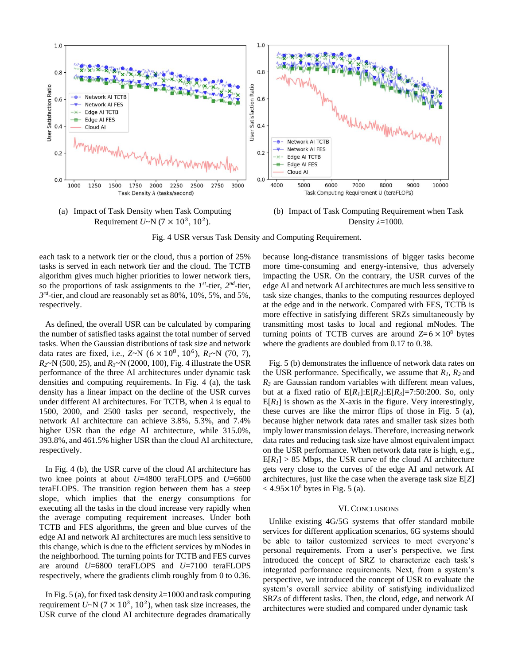



(b) Impact of Task Computing Requirement when Task Density *λ*=1000.

Fig. 4 USR versus Task Density and Computing Requirement.

each task to a network tier or the cloud, thus a portion of 25% tasks is served in each network tier and the cloud. The TCTB algorithm gives much higher priorities to lower network tiers, so the proportions of task assignments to the  $I^{st}$ -tier,  $2^{nd}$ -tier, *3 rd* -tier, and cloud are reasonably set as 80%, 10%, 5%, and 5%, respectively.

As defined, the overall USR can be calculated by comparing the number of satisfied tasks against the total number of served tasks. When the Gaussian distributions of task size and network data rates are fixed, i.e.,  $Z \sim N$  ( $6 \times 10^8$ ,  $10^6$ ),  $R_I \sim N$  (70, 7), *R2*~N (500, 25), and *R3*~N (2000, 100), Fig. 4 illustrate the USR performance of the three AI architectures under dynamic task densities and computing requirements. In Fig. 4 (a), the task density has a linear impact on the decline of the USR curves under different AI architectures. For TCTB, when *λ* is equal to 1500, 2000, and 2500 tasks per second, respectively, the network AI architecture can achieve 3.8%, 5.3%, and 7.4% higher USR than the edge AI architecture, while 315.0%, 393.8%, and 461.5% higher USR than the cloud AI architecture, respectively.

In Fig. 4 (b), the USR curve of the cloud AI architecture has two knee points at about *U*=4800 teraFLOPS and *U*=6600 teraFLOPS. The transition region between them has a steep slope, which implies that the energy consumptions for executing all the tasks in the cloud increase very rapidly when the average computing requirement increases. Under both TCTB and FES algorithms, the green and blue curves of the edge AI and network AI architectures are much less sensitive to this change, which is due to the efficient services by mNodes in the neighborhood. The turning points for TCTB and FES curves are around *U*=6800 teraFLOPS and *U*=7100 teraFLOPS respectively, where the gradients climb roughly from 0 to 0.36.

In Fig. 5 (a), for fixed task density *λ*=1000 and task computing requirement  $U \sim N (7 \times 10^3, 10^2)$ , when task size increases, the USR curve of the cloud AI architecture degrades dramatically

because long-distance transmissions of bigger tasks become more time-consuming and energy-intensive, thus adversely impacting the USR. On the contrary, the USR curves of the edge AI and network AI architectures are much less sensitive to task size changes, thanks to the computing resources deployed at the edge and in the network. Compared with FES, TCTB is more effective in satisfying different SRZs simultaneously by transmitting most tasks to local and regional mNodes. The turning points of TCTB curves are around  $Z=6 \times 10^8$  bytes where the gradients are doubled from 0.17 to 0.38.

Fig. 5 (b) demonstrates the influence of network data rates on the USR performance. Specifically, we assume that *R1*, *R2* and *R<sup>3</sup>* are Gaussian random variables with different mean values, but at a fixed ratio of E[*R1*]:E[*R2*]:E[*R3*]=7:50:200. So, only  $E[R_I]$  is shown as the X-axis in the figure. Very interestingly, these curves are like the mirror flips of those in Fig. 5 (a), because higher network data rates and smaller task sizes both imply lower transmission delays. Therefore, increasing network data rates and reducing task size have almost equivalent impact on the USR performance. When network data rate is high, e.g.,  $E[R_I] > 85$  Mbps, the USR curve of the cloud AI architecture gets very close to the curves of the edge AI and network AI architectures, just like the case when the average task size E[*Z*]  $<$  4.95 $\times$ 10<sup>8</sup> bytes in Fig. 5 (a).

## VI. CONCLUSIONS

Unlike existing 4G/5G systems that offer standard mobile services for different application scenarios, 6G systems should be able to tailor customized services to meet everyone's personal requirements. From a user's perspective, we first introduced the concept of SRZ to characterize each task's integrated performance requirements. Next, from a system's perspective, we introduced the concept of USR to evaluate the system's overall service ability of satisfying individualized SRZs of different tasks. Then, the cloud, edge, and network AI architectures were studied and compared under dynamic task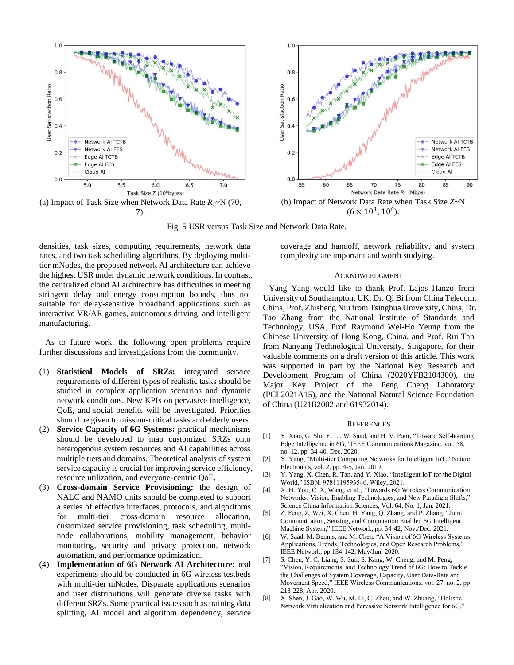



Fig. 5 USR versus Task Size and Network Data Rate.

densities, task sizes, computing requirements, network data rates, and two task scheduling algorithms. By deploying multitier mNodes, the proposed network AI architecture can achieve the highest USR under dynamic network conditions. In contrast, the centralized cloud AI architecture has difficulties in meeting stringent delay and energy consumption bounds, thus not suitable for delay-sensitive broadband applications such as interactive VR/AR games, autonomous driving, and intelligent manufacturing.

As to future work, the following open problems require further discussions and investigations from the community.

- (1) **Statistical Models of SRZs:** integrated service requirements of different types of realistic tasks should be studied in complex application scenarios and dynamic network conditions. New KPIs on pervasive intelligence, QoE, and social benefits will be investigated. Priorities should be given to mission-critical tasks and elderly users.
- (2) **Service Capacity of 6G Systems:** practical mechanisms should be developed to map customized SRZs onto heterogenous system resources and AI capabilities across multiple tiers and domains. Theoretical analysis of system service capacity is crucial for improving service efficiency, resource utilization, and everyone-centric QoE.
- (3) **Cross-domain Service Provisioning:** the design of NALC and NAMO units should be completed to support a series of effective interfaces, protocols, and algorithms for multi-tier cross-domain resource allocation, customized service provisioning, task scheduling, multinode collaborations, mobility management, behavior monitoring, security and privacy protection, network automation, and performance optimization.
- (4) **Implementation of 6G Network AI Architecture:** real experiments should be conducted in 6G wireless testbeds with multi-tier mNodes. Disparate applications scenarios and user distributions will generate diverse tasks with different SRZs. Some practical issues such as training data splitting, AI model and algorithm dependency, service

coverage and handoff, network reliability, and system complexity are important and worth studying.

## ACKNOWLEDGMENT

Yang Yang would like to thank Prof. Lajos Hanzo from University of Southampton, UK, Dr. Qi Bi from China Telecom, China, Prof. Zhisheng Niu from Tsinghua University, China, Dr. Tao Zhang from the National Institute of Standards and Technology, USA, Prof. Raymond Wei-Ho Yeung from the Chinese University of Hong Kong, China, and Prof. Rui Tan from Nanyang Technological University, Singapore, for their valuable comments on a draft version of this article. This work was supported in part by the National Key Research and Development Program of China (2020YFB2104300), the Major Key Project of the Peng Cheng Laboratory (PCL2021A15), and the National Natural Science Foundation of China (U21B2002 and 61932014).

#### **REFERENCES**

- [1] Y. Xiao, G. Shi, Y. Li, W. Saad, and H. V. Poor, "Toward Self-learning Edge Intelligence in 6G," IEEE Communications Magazine, vol. 58, no. 12, pp. 34-40, Dec. 2020.
- [2] Y. Yang, "Multi-tier Computing Networks for Intelligent IoT," Nature Electronics, vol. 2, pp. 4-5, Jan. 2019.
- [3] Y. Yang, X. Chen, R. Tan, and Y. Xiao, "Intelligent IoT for the Digital World," ISBN: 9781119593546, Wiley, 2021.
- [4] X. H. You, C. X. Wang, et al., "Towards 6G Wireless Communication Networks: Vision, Enabling Technologies, and New Paradigm Shifts," Science China Information Sciences, Vol. 64, No. 1, Jan. 2021.
- [5] Z. Feng, Z. Wei, X. Chen, H. Yang, Q. Zhang, and P. Zhang, "Joint Communication, Sensing, and Computation Enabled 6G Intelligent Machine System," IEEE Network, pp. 34-42, Nov./Dec. 2021.
- [6] W. Saad, M. Bennis, and M. Chen, "A Vision of 6G Wireless Systems: Applications, Trends, Technologies, and Open Research Problems," IEEE Network, pp.134-142, May/Jun. 2020.
- [7] S. Chen, Y. C. Liang, S. Sun, S. Kang, W. Cheng, and M. Peng, "Vision, Requirements, and Technology Trend of 6G: How to Tackle the Challenges of System Coverage, Capacity, User Data-Rate and Movement Speed," IEEE Wireless Communications, vol. 27, no. 2, pp. 218-228, Apr. 2020.
- [8] X. Shen, J. Gao, W. Wu, M. Li, C. Zhou, and W. Zhuang, "Holistic Network Virtualization and Pervasive Network Intelligence for 6G,"